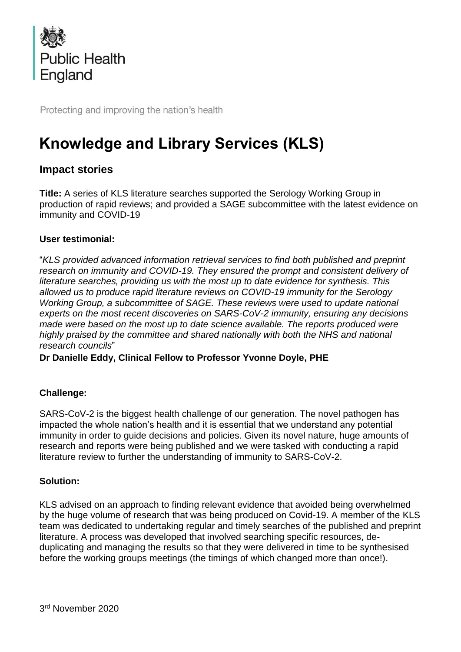

Protecting and improving the nation's health

# **Knowledge and Library Services (KLS)**

# **Impact stories**

**Title:** A series of KLS literature searches supported the Serology Working Group in production of rapid reviews; and provided a SAGE subcommittee with the latest evidence on immunity and COVID-19

### **User testimonial:**

"*KLS provided advanced information retrieval services to find both published and preprint research on immunity and COVID-19. They ensured the prompt and consistent delivery of literature searches, providing us with the most up to date evidence for synthesis. This allowed us to produce rapid literature reviews on COVID-19 immunity for the Serology Working Group, a subcommittee of SAGE. These reviews were used to update national experts on the most recent discoveries on SARS-CoV-2 immunity, ensuring any decisions made were based on the most up to date science available. The reports produced were highly praised by the committee and shared nationally with both the NHS and national research councils*"

**Dr Danielle Eddy, Clinical Fellow to Professor Yvonne Doyle, PHE**

# **Challenge:**

SARS-CoV-2 is the biggest health challenge of our generation. The novel pathogen has impacted the whole nation's health and it is essential that we understand any potential immunity in order to guide decisions and policies. Given its novel nature, huge amounts of research and reports were being published and we were tasked with conducting a rapid literature review to further the understanding of immunity to SARS-CoV-2.

#### **Solution:**

KLS advised on an approach to finding relevant evidence that avoided being overwhelmed by the huge volume of research that was being produced on Covid-19. A member of the KLS team was dedicated to undertaking regular and timely searches of the published and preprint literature. A process was developed that involved searching specific resources, deduplicating and managing the results so that they were delivered in time to be synthesised before the working groups meetings (the timings of which changed more than once!).